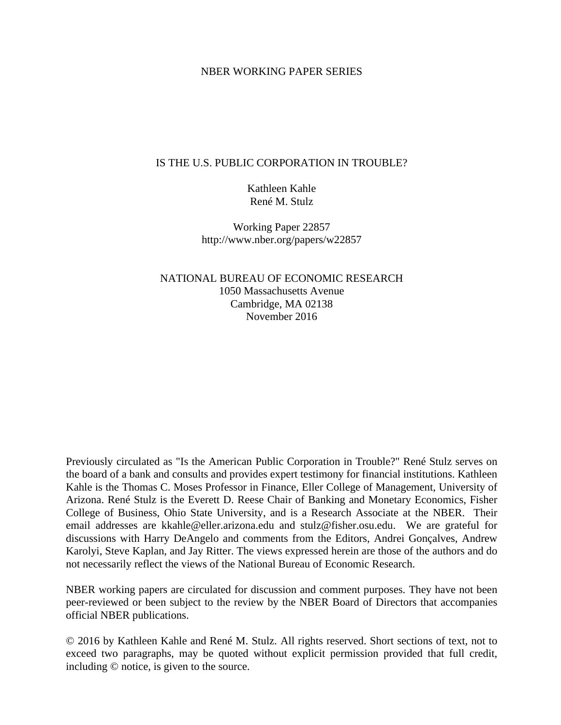## NBER WORKING PAPER SERIES

## IS THE U.S. PUBLIC CORPORATION IN TROUBLE?

Kathleen Kahle René M. Stulz

Working Paper 22857 http://www.nber.org/papers/w22857

NATIONAL BUREAU OF ECONOMIC RESEARCH 1050 Massachusetts Avenue Cambridge, MA 02138 November 2016

Previously circulated as "Is the American Public Corporation in Trouble?" René Stulz serves on the board of a bank and consults and provides expert testimony for financial institutions. Kathleen Kahle is the Thomas C. Moses Professor in Finance, Eller College of Management, University of Arizona. René Stulz is the Everett D. Reese Chair of Banking and Monetary Economics, Fisher College of Business, Ohio State University, and is a Research Associate at the NBER. Their email addresses are kkahle@eller.arizona.edu and stulz@fisher.osu.edu. We are grateful for discussions with Harry DeAngelo and comments from the Editors, Andrei Gonçalves, Andrew Karolyi, Steve Kaplan, and Jay Ritter. The views expressed herein are those of the authors and do not necessarily reflect the views of the National Bureau of Economic Research.

NBER working papers are circulated for discussion and comment purposes. They have not been peer-reviewed or been subject to the review by the NBER Board of Directors that accompanies official NBER publications.

© 2016 by Kathleen Kahle and René M. Stulz. All rights reserved. Short sections of text, not to exceed two paragraphs, may be quoted without explicit permission provided that full credit, including © notice, is given to the source.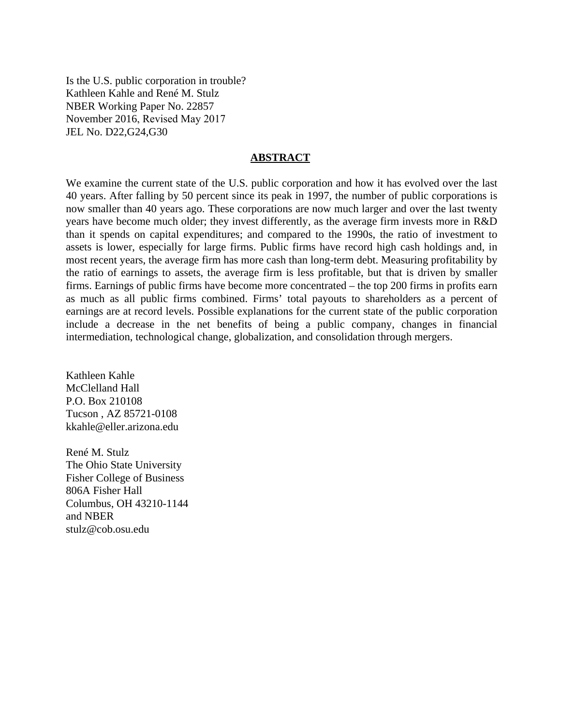Is the U.S. public corporation in trouble? Kathleen Kahle and René M. Stulz NBER Working Paper No. 22857 November 2016, Revised May 2017 JEL No. D22,G24,G30

## **ABSTRACT**

We examine the current state of the U.S. public corporation and how it has evolved over the last 40 years. After falling by 50 percent since its peak in 1997, the number of public corporations is now smaller than 40 years ago. These corporations are now much larger and over the last twenty years have become much older; they invest differently, as the average firm invests more in R&D than it spends on capital expenditures; and compared to the 1990s, the ratio of investment to assets is lower, especially for large firms. Public firms have record high cash holdings and, in most recent years, the average firm has more cash than long-term debt. Measuring profitability by the ratio of earnings to assets, the average firm is less profitable, but that is driven by smaller firms. Earnings of public firms have become more concentrated – the top 200 firms in profits earn as much as all public firms combined. Firms' total payouts to shareholders as a percent of earnings are at record levels. Possible explanations for the current state of the public corporation include a decrease in the net benefits of being a public company, changes in financial intermediation, technological change, globalization, and consolidation through mergers.

Kathleen Kahle McClelland Hall P.O. Box 210108 Tucson , AZ 85721-0108 kkahle@eller.arizona.edu

René M. Stulz The Ohio State University Fisher College of Business 806A Fisher Hall Columbus, OH 43210-1144 and NBER stulz@cob.osu.edu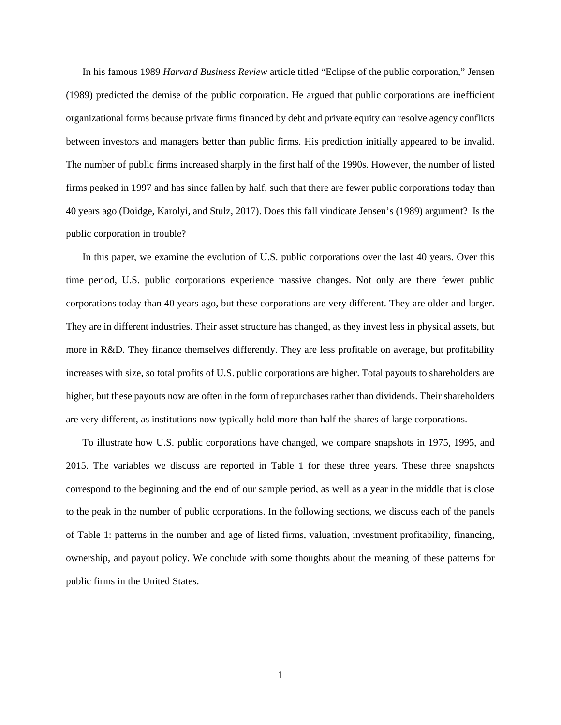In his famous 1989 *Harvard Business Review* article titled "Eclipse of the public corporation," Jensen (1989) predicted the demise of the public corporation. He argued that public corporations are inefficient organizational forms because private firms financed by debt and private equity can resolve agency conflicts between investors and managers better than public firms. His prediction initially appeared to be invalid. The number of public firms increased sharply in the first half of the 1990s. However, the number of listed firms peaked in 1997 and has since fallen by half, such that there are fewer public corporations today than 40 years ago (Doidge, Karolyi, and Stulz, 2017). Does this fall vindicate Jensen's (1989) argument? Is the public corporation in trouble?

In this paper, we examine the evolution of U.S. public corporations over the last 40 years. Over this time period, U.S. public corporations experience massive changes. Not only are there fewer public corporations today than 40 years ago, but these corporations are very different. They are older and larger. They are in different industries. Their asset structure has changed, as they invest less in physical assets, but more in R&D. They finance themselves differently. They are less profitable on average, but profitability increases with size, so total profits of U.S. public corporations are higher. Total payouts to shareholders are higher, but these payouts now are often in the form of repurchases rather than dividends. Their shareholders are very different, as institutions now typically hold more than half the shares of large corporations.

To illustrate how U.S. public corporations have changed, we compare snapshots in 1975, 1995, and 2015. The variables we discuss are reported in Table 1 for these three years. These three snapshots correspond to the beginning and the end of our sample period, as well as a year in the middle that is close to the peak in the number of public corporations. In the following sections, we discuss each of the panels of Table 1: patterns in the number and age of listed firms, valuation, investment profitability, financing, ownership, and payout policy. We conclude with some thoughts about the meaning of these patterns for public firms in the United States.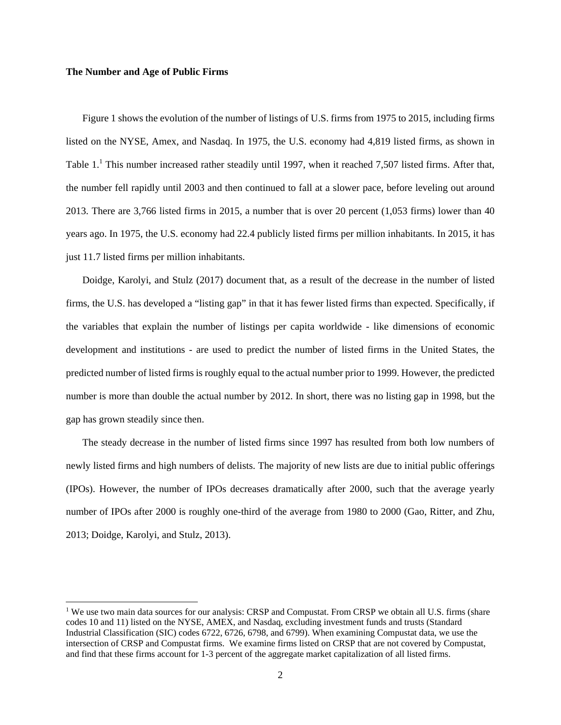#### **The Number and Age of Public Firms**

1

Figure 1 shows the evolution of the number of listings of U.S. firms from 1975 to 2015, including firms listed on the NYSE, Amex, and Nasdaq. In 1975, the U.S. economy had 4,819 listed firms, as shown in Table 1.<sup>1</sup> This number increased rather steadily until 1997, when it reached 7,507 listed firms. After that, the number fell rapidly until 2003 and then continued to fall at a slower pace, before leveling out around 2013. There are 3,766 listed firms in 2015, a number that is over 20 percent (1,053 firms) lower than 40 years ago. In 1975, the U.S. economy had 22.4 publicly listed firms per million inhabitants. In 2015, it has just 11.7 listed firms per million inhabitants.

Doidge, Karolyi, and Stulz (2017) document that, as a result of the decrease in the number of listed firms, the U.S. has developed a "listing gap" in that it has fewer listed firms than expected. Specifically, if the variables that explain the number of listings per capita worldwide - like dimensions of economic development and institutions - are used to predict the number of listed firms in the United States, the predicted number of listed firms is roughly equal to the actual number prior to 1999. However, the predicted number is more than double the actual number by 2012. In short, there was no listing gap in 1998, but the gap has grown steadily since then.

The steady decrease in the number of listed firms since 1997 has resulted from both low numbers of newly listed firms and high numbers of delists. The majority of new lists are due to initial public offerings (IPOs). However, the number of IPOs decreases dramatically after 2000, such that the average yearly number of IPOs after 2000 is roughly one-third of the average from 1980 to 2000 (Gao, Ritter, and Zhu, 2013; Doidge, Karolyi, and Stulz, 2013).

<sup>&</sup>lt;sup>1</sup> We use two main data sources for our analysis: CRSP and Compustat. From CRSP we obtain all U.S. firms (share codes 10 and 11) listed on the NYSE, AMEX, and Nasdaq, excluding investment funds and trusts (Standard Industrial Classification (SIC) codes 6722, 6726, 6798, and 6799). When examining Compustat data, we use the intersection of CRSP and Compustat firms. We examine firms listed on CRSP that are not covered by Compustat, and find that these firms account for 1-3 percent of the aggregate market capitalization of all listed firms.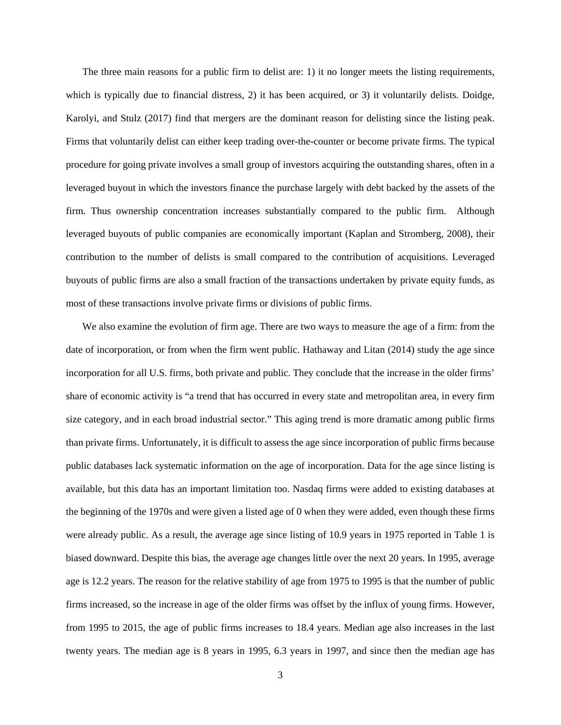The three main reasons for a public firm to delist are: 1) it no longer meets the listing requirements, which is typically due to financial distress, 2) it has been acquired, or 3) it voluntarily delists. Doidge, Karolyi, and Stulz (2017) find that mergers are the dominant reason for delisting since the listing peak. Firms that voluntarily delist can either keep trading over-the-counter or become private firms. The typical procedure for going private involves a small group of investors acquiring the outstanding shares, often in a leveraged buyout in which the investors finance the purchase largely with debt backed by the assets of the firm. Thus ownership concentration increases substantially compared to the public firm. Although leveraged buyouts of public companies are economically important (Kaplan and Stromberg, 2008), their contribution to the number of delists is small compared to the contribution of acquisitions. Leveraged buyouts of public firms are also a small fraction of the transactions undertaken by private equity funds, as most of these transactions involve private firms or divisions of public firms.

We also examine the evolution of firm age. There are two ways to measure the age of a firm: from the date of incorporation, or from when the firm went public. Hathaway and Litan (2014) study the age since incorporation for all U.S. firms, both private and public. They conclude that the increase in the older firms' share of economic activity is "a trend that has occurred in every state and metropolitan area, in every firm size category, and in each broad industrial sector." This aging trend is more dramatic among public firms than private firms. Unfortunately, it is difficult to assess the age since incorporation of public firms because public databases lack systematic information on the age of incorporation. Data for the age since listing is available, but this data has an important limitation too. Nasdaq firms were added to existing databases at the beginning of the 1970s and were given a listed age of 0 when they were added, even though these firms were already public. As a result, the average age since listing of 10.9 years in 1975 reported in Table 1 is biased downward. Despite this bias, the average age changes little over the next 20 years. In 1995, average age is 12.2 years. The reason for the relative stability of age from 1975 to 1995 is that the number of public firms increased, so the increase in age of the older firms was offset by the influx of young firms. However, from 1995 to 2015, the age of public firms increases to 18.4 years. Median age also increases in the last twenty years. The median age is 8 years in 1995, 6.3 years in 1997, and since then the median age has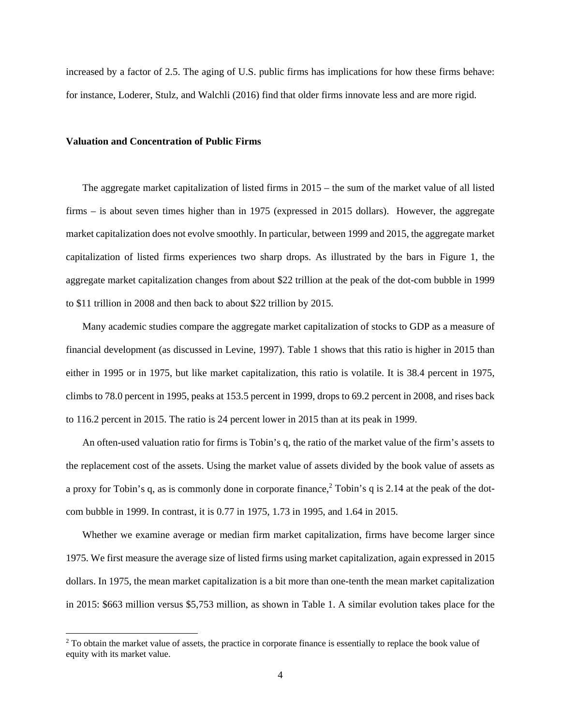increased by a factor of 2.5. The aging of U.S. public firms has implications for how these firms behave: for instance, Loderer, Stulz, and Walchli (2016) find that older firms innovate less and are more rigid.

### **Valuation and Concentration of Public Firms**

1

The aggregate market capitalization of listed firms in 2015 – the sum of the market value of all listed firms – is about seven times higher than in 1975 (expressed in 2015 dollars). However, the aggregate market capitalization does not evolve smoothly. In particular, between 1999 and 2015, the aggregate market capitalization of listed firms experiences two sharp drops. As illustrated by the bars in Figure 1, the aggregate market capitalization changes from about \$22 trillion at the peak of the dot-com bubble in 1999 to \$11 trillion in 2008 and then back to about \$22 trillion by 2015.

Many academic studies compare the aggregate market capitalization of stocks to GDP as a measure of financial development (as discussed in Levine, 1997). Table 1 shows that this ratio is higher in 2015 than either in 1995 or in 1975, but like market capitalization, this ratio is volatile. It is 38.4 percent in 1975, climbs to 78.0 percent in 1995, peaks at 153.5 percent in 1999, drops to 69.2 percent in 2008, and rises back to 116.2 percent in 2015. The ratio is 24 percent lower in 2015 than at its peak in 1999.

An often-used valuation ratio for firms is Tobin's q, the ratio of the market value of the firm's assets to the replacement cost of the assets. Using the market value of assets divided by the book value of assets as a proxy for Tobin's q, as is commonly done in corporate finance, $2$  Tobin's q is 2.14 at the peak of the dotcom bubble in 1999. In contrast, it is 0.77 in 1975, 1.73 in 1995, and 1.64 in 2015.

Whether we examine average or median firm market capitalization, firms have become larger since 1975. We first measure the average size of listed firms using market capitalization, again expressed in 2015 dollars. In 1975, the mean market capitalization is a bit more than one-tenth the mean market capitalization in 2015: \$663 million versus \$5,753 million, as shown in Table 1. A similar evolution takes place for the

<sup>&</sup>lt;sup>2</sup> To obtain the market value of assets, the practice in corporate finance is essentially to replace the book value of equity with its market value.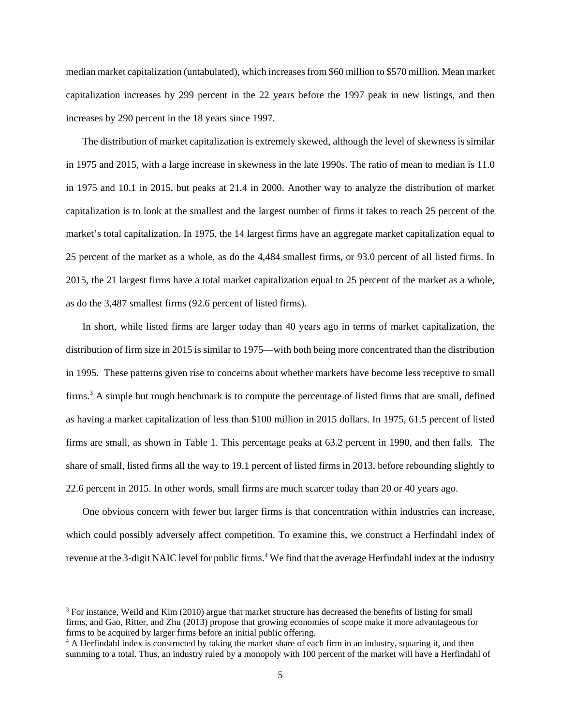median market capitalization (untabulated), which increases from \$60 million to \$570 million. Mean market capitalization increases by 299 percent in the 22 years before the 1997 peak in new listings, and then increases by 290 percent in the 18 years since 1997.

The distribution of market capitalization is extremely skewed, although the level of skewness is similar in 1975 and 2015, with a large increase in skewness in the late 1990s. The ratio of mean to median is 11.0 in 1975 and 10.1 in 2015, but peaks at 21.4 in 2000. Another way to analyze the distribution of market capitalization is to look at the smallest and the largest number of firms it takes to reach 25 percent of the market's total capitalization. In 1975, the 14 largest firms have an aggregate market capitalization equal to 25 percent of the market as a whole, as do the 4,484 smallest firms, or 93.0 percent of all listed firms. In 2015, the 21 largest firms have a total market capitalization equal to 25 percent of the market as a whole, as do the 3,487 smallest firms (92.6 percent of listed firms).

In short, while listed firms are larger today than 40 years ago in terms of market capitalization, the distribution of firm size in 2015 is similar to 1975—with both being more concentrated than the distribution in 1995. These patterns given rise to concerns about whether markets have become less receptive to small firms.<sup>3</sup> A simple but rough benchmark is to compute the percentage of listed firms that are small, defined as having a market capitalization of less than \$100 million in 2015 dollars. In 1975, 61.5 percent of listed firms are small, as shown in Table 1. This percentage peaks at 63.2 percent in 1990, and then falls. The share of small, listed firms all the way to 19.1 percent of listed firms in 2013, before rebounding slightly to 22.6 percent in 2015. In other words, small firms are much scarcer today than 20 or 40 years ago.

One obvious concern with fewer but larger firms is that concentration within industries can increase, which could possibly adversely affect competition. To examine this, we construct a Herfindahl index of revenue at the 3-digit NAIC level for public firms.<sup>4</sup> We find that the average Herfindahl index at the industry

l

<sup>&</sup>lt;sup>3</sup> For instance, Weild and Kim (2010) argue that market structure has decreased the benefits of listing for small firms, and Gao, Ritter, and Zhu (2013) propose that growing economies of scope make it more advantageous for firms to be acquired by larger firms before an initial public offering. 4

<sup>&</sup>lt;sup>4</sup> A Herfindahl index is constructed by taking the market share of each firm in an industry, squaring it, and then summing to a total. Thus, an industry ruled by a monopoly with 100 percent of the market will have a Herfindahl of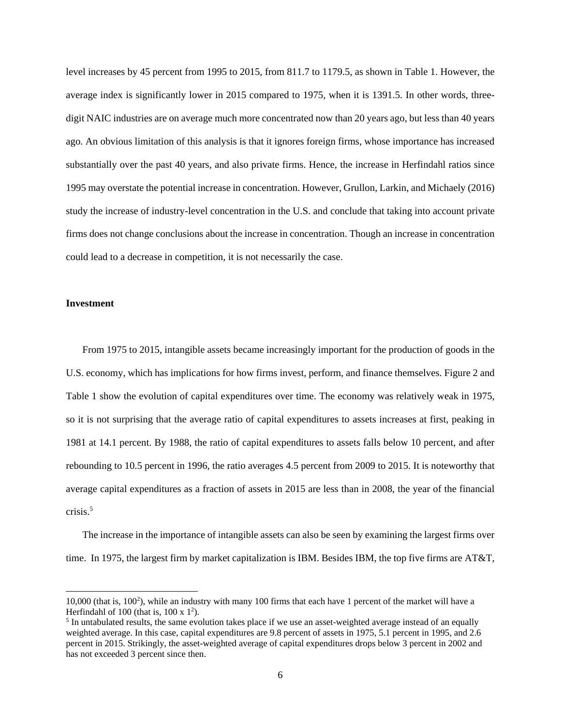level increases by 45 percent from 1995 to 2015, from 811.7 to 1179.5, as shown in Table 1. However, the average index is significantly lower in 2015 compared to 1975, when it is 1391.5. In other words, threedigit NAIC industries are on average much more concentrated now than 20 years ago, but less than 40 years ago. An obvious limitation of this analysis is that it ignores foreign firms, whose importance has increased substantially over the past 40 years, and also private firms. Hence, the increase in Herfindahl ratios since 1995 may overstate the potential increase in concentration. However, Grullon, Larkin, and Michaely (2016) study the increase of industry-level concentration in the U.S. and conclude that taking into account private firms does not change conclusions about the increase in concentration. Though an increase in concentration could lead to a decrease in competition, it is not necessarily the case.

## **Investment**

 $\overline{a}$ 

From 1975 to 2015, intangible assets became increasingly important for the production of goods in the U.S. economy, which has implications for how firms invest, perform, and finance themselves. Figure 2 and Table 1 show the evolution of capital expenditures over time. The economy was relatively weak in 1975, so it is not surprising that the average ratio of capital expenditures to assets increases at first, peaking in 1981 at 14.1 percent. By 1988, the ratio of capital expenditures to assets falls below 10 percent, and after rebounding to 10.5 percent in 1996, the ratio averages 4.5 percent from 2009 to 2015. It is noteworthy that average capital expenditures as a fraction of assets in 2015 are less than in 2008, the year of the financial crisis.<sup>5</sup>

The increase in the importance of intangible assets can also be seen by examining the largest firms over time. In 1975, the largest firm by market capitalization is IBM. Besides IBM, the top five firms are AT&T,

<sup>10,000 (</sup>that is, 100<sup>2</sup>), while an industry with many 100 firms that each have 1 percent of the market will have a Herfindahl of 100 (that is,  $100 \times 1^2$ ).<br>
<sup>5</sup> In untabulated results, the same avo

 $<sup>5</sup>$  In untabulated results, the same evolution takes place if we use an asset-weighted average instead of an equally</sup> weighted average. In this case, capital expenditures are 9.8 percent of assets in 1975, 5.1 percent in 1995, and 2.6 percent in 2015. Strikingly, the asset-weighted average of capital expenditures drops below 3 percent in 2002 and has not exceeded 3 percent since then.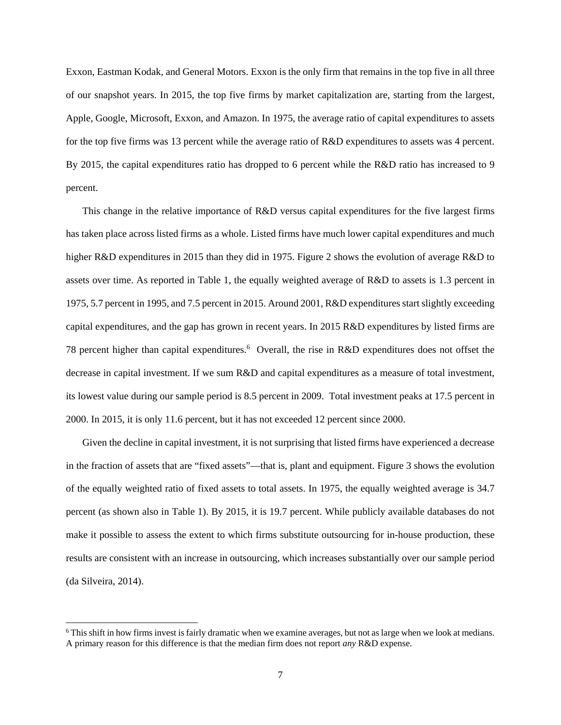Exxon, Eastman Kodak, and General Motors. Exxon is the only firm that remains in the top five in all three of our snapshot years. In 2015, the top five firms by market capitalization are, starting from the largest, Apple, Google, Microsoft, Exxon, and Amazon. In 1975, the average ratio of capital expenditures to assets for the top five firms was 13 percent while the average ratio of R&D expenditures to assets was 4 percent. By 2015, the capital expenditures ratio has dropped to 6 percent while the R&D ratio has increased to 9 percent.

This change in the relative importance of R&D versus capital expenditures for the five largest firms has taken place across listed firms as a whole. Listed firms have much lower capital expenditures and much higher R&D expenditures in 2015 than they did in 1975. Figure 2 shows the evolution of average R&D to assets over time. As reported in Table 1, the equally weighted average of R&D to assets is 1.3 percent in 1975, 5.7 percent in 1995, and 7.5 percent in 2015. Around 2001, R&D expenditures start slightly exceeding capital expenditures, and the gap has grown in recent years. In 2015 R&D expenditures by listed firms are 78 percent higher than capital expenditures.<sup>6</sup> Overall, the rise in R&D expenditures does not offset the decrease in capital investment. If we sum R&D and capital expenditures as a measure of total investment, its lowest value during our sample period is 8.5 percent in 2009. Total investment peaks at 17.5 percent in 2000. In 2015, it is only 11.6 percent, but it has not exceeded 12 percent since 2000.

Given the decline in capital investment, it is not surprising that listed firms have experienced a decrease in the fraction of assets that are "fixed assets"—that is, plant and equipment. Figure 3 shows the evolution of the equally weighted ratio of fixed assets to total assets. In 1975, the equally weighted average is 34.7 percent (as shown also in Table 1). By 2015, it is 19.7 percent. While publicly available databases do not make it possible to assess the extent to which firms substitute outsourcing for in-house production, these results are consistent with an increase in outsourcing, which increases substantially over our sample period (da Silveira, 2014).

 $\overline{a}$ 

<sup>6</sup> This shift in how firms invest is fairly dramatic when we examine averages, but not as large when we look at medians. A primary reason for this difference is that the median firm does not report *any* R&D expense.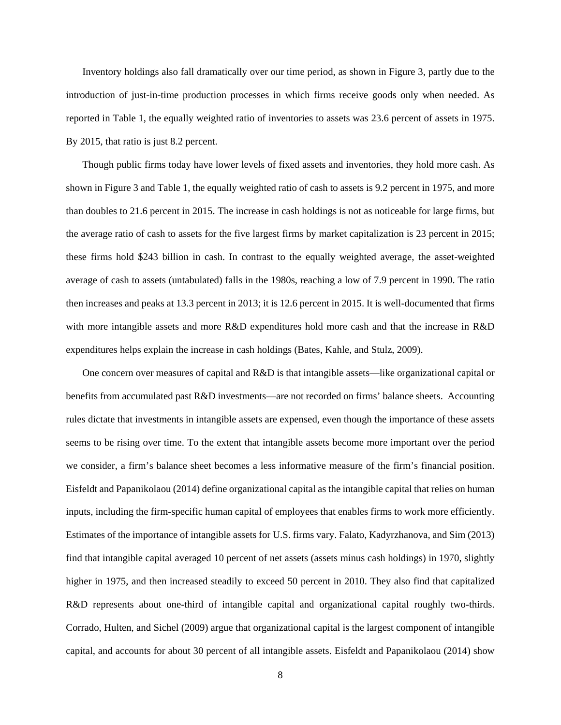Inventory holdings also fall dramatically over our time period, as shown in Figure 3, partly due to the introduction of just-in-time production processes in which firms receive goods only when needed. As reported in Table 1, the equally weighted ratio of inventories to assets was 23.6 percent of assets in 1975. By 2015, that ratio is just 8.2 percent.

Though public firms today have lower levels of fixed assets and inventories, they hold more cash. As shown in Figure 3 and Table 1, the equally weighted ratio of cash to assets is 9.2 percent in 1975, and more than doubles to 21.6 percent in 2015. The increase in cash holdings is not as noticeable for large firms, but the average ratio of cash to assets for the five largest firms by market capitalization is 23 percent in 2015; these firms hold \$243 billion in cash. In contrast to the equally weighted average, the asset-weighted average of cash to assets (untabulated) falls in the 1980s, reaching a low of 7.9 percent in 1990. The ratio then increases and peaks at 13.3 percent in 2013; it is 12.6 percent in 2015. It is well-documented that firms with more intangible assets and more R&D expenditures hold more cash and that the increase in R&D expenditures helps explain the increase in cash holdings (Bates, Kahle, and Stulz, 2009).

One concern over measures of capital and R&D is that intangible assets—like organizational capital or benefits from accumulated past R&D investments—are not recorded on firms' balance sheets. Accounting rules dictate that investments in intangible assets are expensed, even though the importance of these assets seems to be rising over time. To the extent that intangible assets become more important over the period we consider, a firm's balance sheet becomes a less informative measure of the firm's financial position. Eisfeldt and Papanikolaou (2014) define organizational capital as the intangible capital that relies on human inputs, including the firm-specific human capital of employees that enables firms to work more efficiently. Estimates of the importance of intangible assets for U.S. firms vary. Falato, Kadyrzhanova, and Sim (2013) find that intangible capital averaged 10 percent of net assets (assets minus cash holdings) in 1970, slightly higher in 1975, and then increased steadily to exceed 50 percent in 2010. They also find that capitalized R&D represents about one-third of intangible capital and organizational capital roughly two-thirds. Corrado, Hulten, and Sichel (2009) argue that organizational capital is the largest component of intangible capital, and accounts for about 30 percent of all intangible assets. Eisfeldt and Papanikolaou (2014) show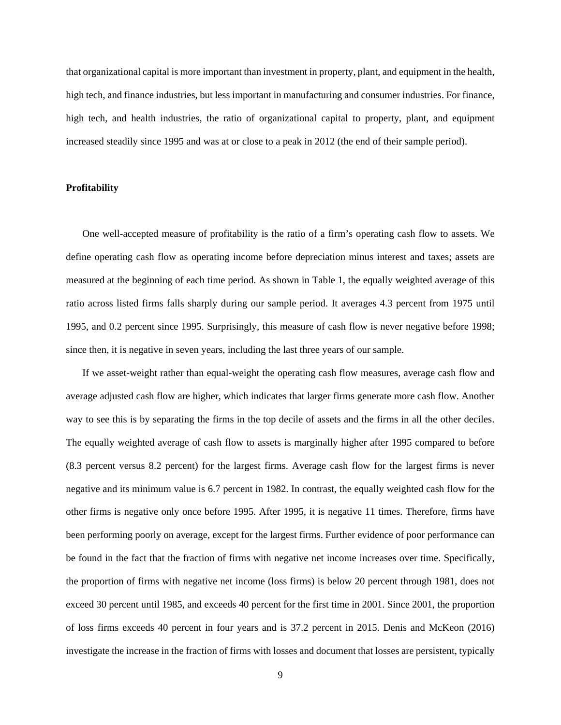that organizational capital is more important than investment in property, plant, and equipment in the health, high tech, and finance industries, but less important in manufacturing and consumer industries. For finance, high tech, and health industries, the ratio of organizational capital to property, plant, and equipment increased steadily since 1995 and was at or close to a peak in 2012 (the end of their sample period).

#### **Profitability**

One well-accepted measure of profitability is the ratio of a firm's operating cash flow to assets. We define operating cash flow as operating income before depreciation minus interest and taxes; assets are measured at the beginning of each time period. As shown in Table 1, the equally weighted average of this ratio across listed firms falls sharply during our sample period. It averages 4.3 percent from 1975 until 1995, and 0.2 percent since 1995. Surprisingly, this measure of cash flow is never negative before 1998; since then, it is negative in seven years, including the last three years of our sample.

If we asset-weight rather than equal-weight the operating cash flow measures, average cash flow and average adjusted cash flow are higher, which indicates that larger firms generate more cash flow. Another way to see this is by separating the firms in the top decile of assets and the firms in all the other deciles. The equally weighted average of cash flow to assets is marginally higher after 1995 compared to before (8.3 percent versus 8.2 percent) for the largest firms. Average cash flow for the largest firms is never negative and its minimum value is 6.7 percent in 1982. In contrast, the equally weighted cash flow for the other firms is negative only once before 1995. After 1995, it is negative 11 times. Therefore, firms have been performing poorly on average, except for the largest firms. Further evidence of poor performance can be found in the fact that the fraction of firms with negative net income increases over time. Specifically, the proportion of firms with negative net income (loss firms) is below 20 percent through 1981, does not exceed 30 percent until 1985, and exceeds 40 percent for the first time in 2001. Since 2001, the proportion of loss firms exceeds 40 percent in four years and is 37.2 percent in 2015. Denis and McKeon (2016) investigate the increase in the fraction of firms with losses and document that losses are persistent, typically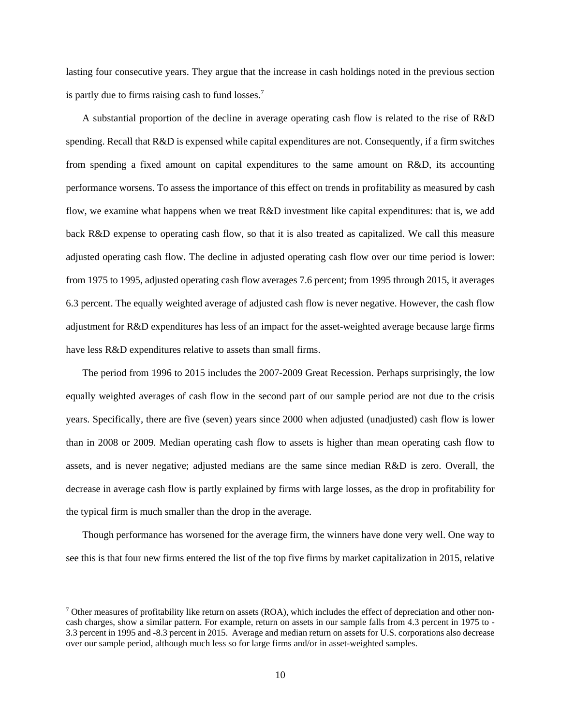lasting four consecutive years. They argue that the increase in cash holdings noted in the previous section is partly due to firms raising cash to fund losses.<sup>7</sup>

A substantial proportion of the decline in average operating cash flow is related to the rise of R&D spending. Recall that R&D is expensed while capital expenditures are not. Consequently, if a firm switches from spending a fixed amount on capital expenditures to the same amount on R&D, its accounting performance worsens. To assess the importance of this effect on trends in profitability as measured by cash flow, we examine what happens when we treat R&D investment like capital expenditures: that is, we add back R&D expense to operating cash flow, so that it is also treated as capitalized. We call this measure adjusted operating cash flow. The decline in adjusted operating cash flow over our time period is lower: from 1975 to 1995, adjusted operating cash flow averages 7.6 percent; from 1995 through 2015, it averages 6.3 percent. The equally weighted average of adjusted cash flow is never negative. However, the cash flow adjustment for R&D expenditures has less of an impact for the asset-weighted average because large firms have less R&D expenditures relative to assets than small firms.

The period from 1996 to 2015 includes the 2007-2009 Great Recession. Perhaps surprisingly, the low equally weighted averages of cash flow in the second part of our sample period are not due to the crisis years. Specifically, there are five (seven) years since 2000 when adjusted (unadjusted) cash flow is lower than in 2008 or 2009. Median operating cash flow to assets is higher than mean operating cash flow to assets, and is never negative; adjusted medians are the same since median R&D is zero. Overall, the decrease in average cash flow is partly explained by firms with large losses, as the drop in profitability for the typical firm is much smaller than the drop in the average.

Though performance has worsened for the average firm, the winners have done very well. One way to see this is that four new firms entered the list of the top five firms by market capitalization in 2015, relative

l

 $<sup>7</sup>$  Other measures of profitability like return on assets (ROA), which includes the effect of depreciation and other non-</sup> cash charges, show a similar pattern. For example, return on assets in our sample falls from 4.3 percent in 1975 to - 3.3 percent in 1995 and -8.3 percent in 2015. Average and median return on assets for U.S. corporations also decrease over our sample period, although much less so for large firms and/or in asset-weighted samples.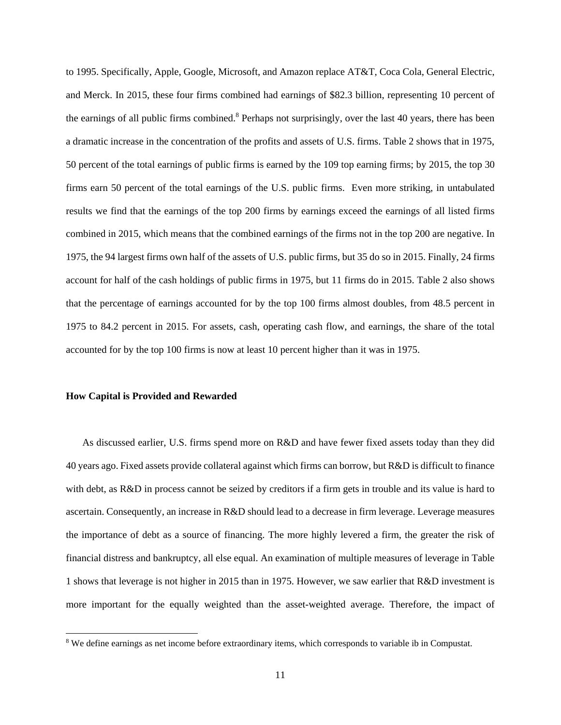to 1995. Specifically, Apple, Google, Microsoft, and Amazon replace AT&T, Coca Cola, General Electric, and Merck. In 2015, these four firms combined had earnings of \$82.3 billion, representing 10 percent of the earnings of all public firms combined.<sup>8</sup> Perhaps not surprisingly, over the last 40 years, there has been a dramatic increase in the concentration of the profits and assets of U.S. firms. Table 2 shows that in 1975, 50 percent of the total earnings of public firms is earned by the 109 top earning firms; by 2015, the top 30 firms earn 50 percent of the total earnings of the U.S. public firms. Even more striking, in untabulated results we find that the earnings of the top 200 firms by earnings exceed the earnings of all listed firms combined in 2015, which means that the combined earnings of the firms not in the top 200 are negative. In 1975, the 94 largest firms own half of the assets of U.S. public firms, but 35 do so in 2015. Finally, 24 firms account for half of the cash holdings of public firms in 1975, but 11 firms do in 2015. Table 2 also shows that the percentage of earnings accounted for by the top 100 firms almost doubles, from 48.5 percent in 1975 to 84.2 percent in 2015. For assets, cash, operating cash flow, and earnings, the share of the total accounted for by the top 100 firms is now at least 10 percent higher than it was in 1975.

#### **How Capital is Provided and Rewarded**

1

As discussed earlier, U.S. firms spend more on R&D and have fewer fixed assets today than they did 40 years ago. Fixed assets provide collateral against which firms can borrow, but R&D is difficult to finance with debt, as R&D in process cannot be seized by creditors if a firm gets in trouble and its value is hard to ascertain. Consequently, an increase in R&D should lead to a decrease in firm leverage. Leverage measures the importance of debt as a source of financing. The more highly levered a firm, the greater the risk of financial distress and bankruptcy, all else equal. An examination of multiple measures of leverage in Table 1 shows that leverage is not higher in 2015 than in 1975. However, we saw earlier that R&D investment is more important for the equally weighted than the asset-weighted average. Therefore, the impact of

<sup>&</sup>lt;sup>8</sup> We define earnings as net income before extraordinary items, which corresponds to variable ib in Compustat.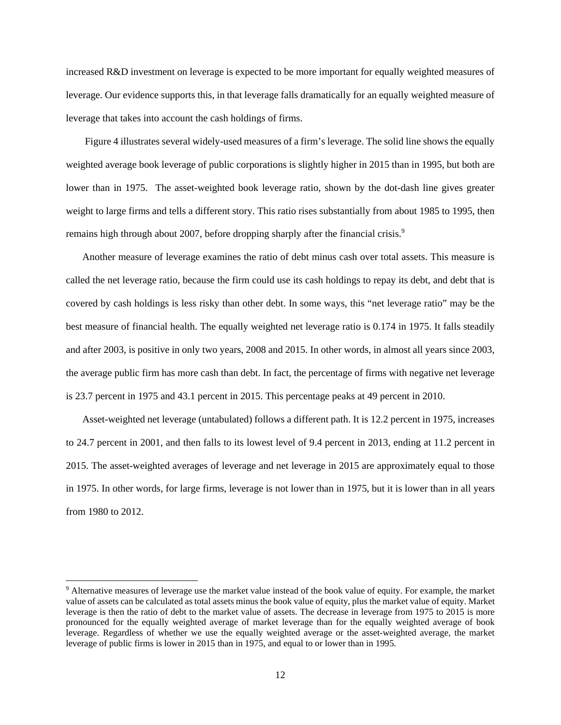increased R&D investment on leverage is expected to be more important for equally weighted measures of leverage. Our evidence supports this, in that leverage falls dramatically for an equally weighted measure of leverage that takes into account the cash holdings of firms.

 Figure 4 illustrates several widely-used measures of a firm's leverage. The solid line shows the equally weighted average book leverage of public corporations is slightly higher in 2015 than in 1995, but both are lower than in 1975. The asset-weighted book leverage ratio, shown by the dot-dash line gives greater weight to large firms and tells a different story. This ratio rises substantially from about 1985 to 1995, then remains high through about 2007, before dropping sharply after the financial crisis.<sup>9</sup>

Another measure of leverage examines the ratio of debt minus cash over total assets. This measure is called the net leverage ratio, because the firm could use its cash holdings to repay its debt, and debt that is covered by cash holdings is less risky than other debt. In some ways, this "net leverage ratio" may be the best measure of financial health. The equally weighted net leverage ratio is 0.174 in 1975. It falls steadily and after 2003, is positive in only two years, 2008 and 2015. In other words, in almost all years since 2003, the average public firm has more cash than debt. In fact, the percentage of firms with negative net leverage is 23.7 percent in 1975 and 43.1 percent in 2015. This percentage peaks at 49 percent in 2010.

Asset-weighted net leverage (untabulated) follows a different path. It is 12.2 percent in 1975, increases to 24.7 percent in 2001, and then falls to its lowest level of 9.4 percent in 2013, ending at 11.2 percent in 2015. The asset-weighted averages of leverage and net leverage in 2015 are approximately equal to those in 1975. In other words, for large firms, leverage is not lower than in 1975, but it is lower than in all years from 1980 to 2012.

l

<sup>&</sup>lt;sup>9</sup> Alternative measures of leverage use the market value instead of the book value of equity. For example, the market value of assets can be calculated as total assets minus the book value of equity, plus the market value of equity. Market leverage is then the ratio of debt to the market value of assets. The decrease in leverage from 1975 to 2015 is more pronounced for the equally weighted average of market leverage than for the equally weighted average of book leverage. Regardless of whether we use the equally weighted average or the asset-weighted average, the market leverage of public firms is lower in 2015 than in 1975, and equal to or lower than in 1995.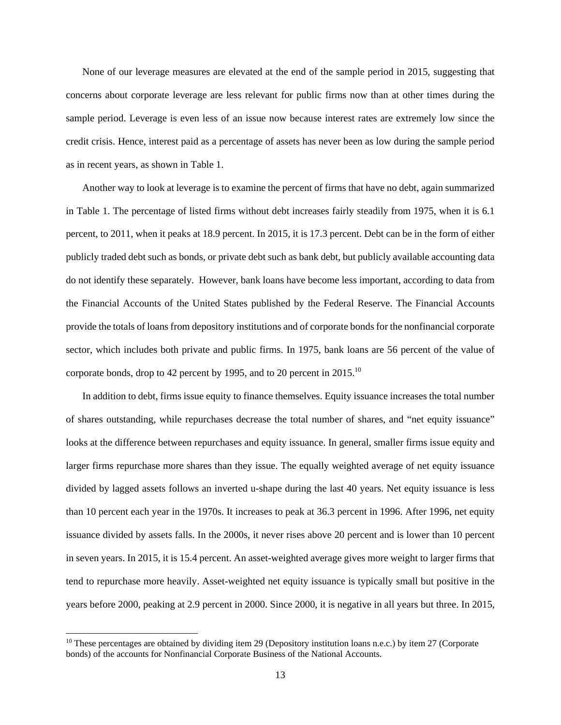None of our leverage measures are elevated at the end of the sample period in 2015, suggesting that concerns about corporate leverage are less relevant for public firms now than at other times during the sample period. Leverage is even less of an issue now because interest rates are extremely low since the credit crisis. Hence, interest paid as a percentage of assets has never been as low during the sample period as in recent years, as shown in Table 1.

Another way to look at leverage is to examine the percent of firms that have no debt, again summarized in Table 1. The percentage of listed firms without debt increases fairly steadily from 1975, when it is 6.1 percent, to 2011, when it peaks at 18.9 percent. In 2015, it is 17.3 percent. Debt can be in the form of either publicly traded debt such as bonds, or private debt such as bank debt, but publicly available accounting data do not identify these separately. However, bank loans have become less important, according to data from the Financial Accounts of the United States published by the Federal Reserve. The Financial Accounts provide the totals of loans from depository institutions and of corporate bonds for the nonfinancial corporate sector, which includes both private and public firms. In 1975, bank loans are 56 percent of the value of corporate bonds, drop to 42 percent by 1995, and to 20 percent in 2015.<sup>10</sup>

In addition to debt, firms issue equity to finance themselves. Equity issuance increases the total number of shares outstanding, while repurchases decrease the total number of shares, and "net equity issuance" looks at the difference between repurchases and equity issuance. In general, smaller firms issue equity and larger firms repurchase more shares than they issue. The equally weighted average of net equity issuance divided by lagged assets follows an inverted u-shape during the last 40 years. Net equity issuance is less than 10 percent each year in the 1970s. It increases to peak at 36.3 percent in 1996. After 1996, net equity issuance divided by assets falls. In the 2000s, it never rises above 20 percent and is lower than 10 percent in seven years. In 2015, it is 15.4 percent. An asset-weighted average gives more weight to larger firms that tend to repurchase more heavily. Asset-weighted net equity issuance is typically small but positive in the years before 2000, peaking at 2.9 percent in 2000. Since 2000, it is negative in all years but three. In 2015,

l

 $10$  These percentages are obtained by dividing item 29 (Depository institution loans n.e.c.) by item 27 (Corporate bonds) of the accounts for Nonfinancial Corporate Business of the National Accounts.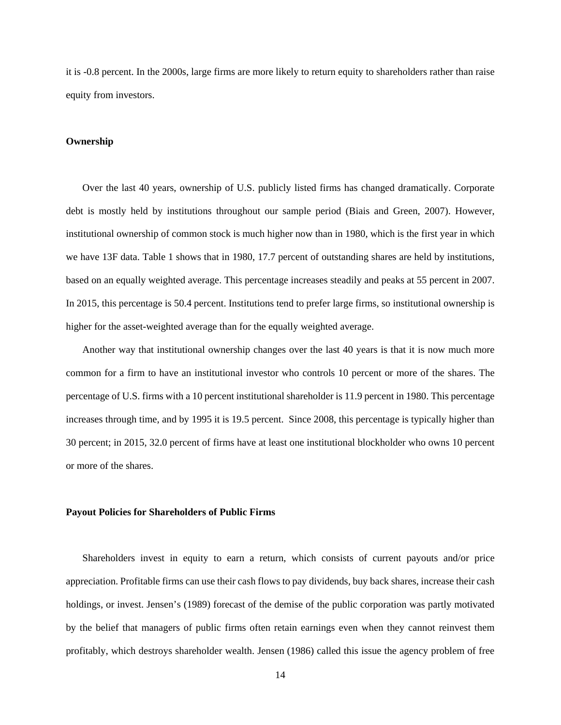it is -0.8 percent. In the 2000s, large firms are more likely to return equity to shareholders rather than raise equity from investors.

#### **Ownership**

Over the last 40 years, ownership of U.S. publicly listed firms has changed dramatically. Corporate debt is mostly held by institutions throughout our sample period (Biais and Green, 2007). However, institutional ownership of common stock is much higher now than in 1980, which is the first year in which we have 13F data. Table 1 shows that in 1980, 17.7 percent of outstanding shares are held by institutions, based on an equally weighted average. This percentage increases steadily and peaks at 55 percent in 2007. In 2015, this percentage is 50.4 percent. Institutions tend to prefer large firms, so institutional ownership is higher for the asset-weighted average than for the equally weighted average.

Another way that institutional ownership changes over the last 40 years is that it is now much more common for a firm to have an institutional investor who controls 10 percent or more of the shares. The percentage of U.S. firms with a 10 percent institutional shareholder is 11.9 percent in 1980. This percentage increases through time, and by 1995 it is 19.5 percent. Since 2008, this percentage is typically higher than 30 percent; in 2015, 32.0 percent of firms have at least one institutional blockholder who owns 10 percent or more of the shares.

#### **Payout Policies for Shareholders of Public Firms**

Shareholders invest in equity to earn a return, which consists of current payouts and/or price appreciation. Profitable firms can use their cash flows to pay dividends, buy back shares, increase their cash holdings, or invest. Jensen's (1989) forecast of the demise of the public corporation was partly motivated by the belief that managers of public firms often retain earnings even when they cannot reinvest them profitably, which destroys shareholder wealth. Jensen (1986) called this issue the agency problem of free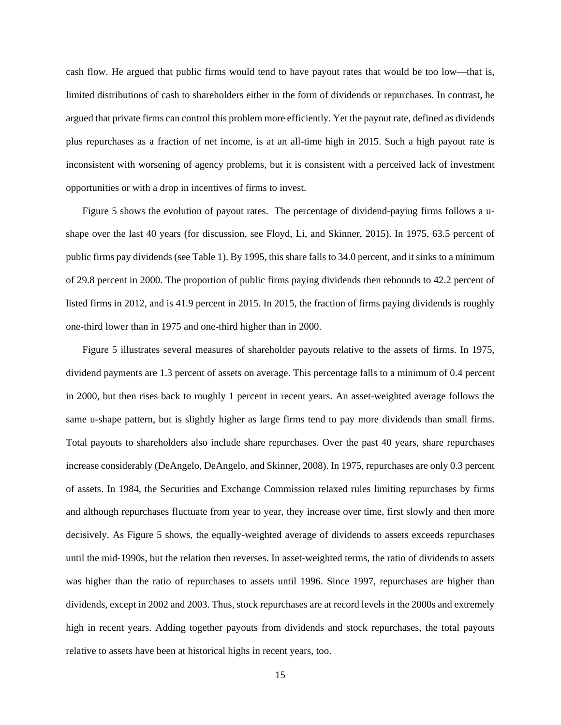cash flow. He argued that public firms would tend to have payout rates that would be too low—that is, limited distributions of cash to shareholders either in the form of dividends or repurchases. In contrast, he argued that private firms can control this problem more efficiently. Yet the payout rate, defined as dividends plus repurchases as a fraction of net income, is at an all-time high in 2015. Such a high payout rate is inconsistent with worsening of agency problems, but it is consistent with a perceived lack of investment opportunities or with a drop in incentives of firms to invest.

Figure 5 shows the evolution of payout rates. The percentage of dividend-paying firms follows a ushape over the last 40 years (for discussion, see Floyd, Li, and Skinner, 2015). In 1975, 63.5 percent of public firms pay dividends (see Table 1). By 1995, this share falls to 34.0 percent, and it sinks to a minimum of 29.8 percent in 2000. The proportion of public firms paying dividends then rebounds to 42.2 percent of listed firms in 2012, and is 41.9 percent in 2015. In 2015, the fraction of firms paying dividends is roughly one-third lower than in 1975 and one-third higher than in 2000.

Figure 5 illustrates several measures of shareholder payouts relative to the assets of firms. In 1975, dividend payments are 1.3 percent of assets on average. This percentage falls to a minimum of 0.4 percent in 2000, but then rises back to roughly 1 percent in recent years. An asset-weighted average follows the same u-shape pattern, but is slightly higher as large firms tend to pay more dividends than small firms. Total payouts to shareholders also include share repurchases. Over the past 40 years, share repurchases increase considerably (DeAngelo, DeAngelo, and Skinner, 2008). In 1975, repurchases are only 0.3 percent of assets. In 1984, the Securities and Exchange Commission relaxed rules limiting repurchases by firms and although repurchases fluctuate from year to year, they increase over time, first slowly and then more decisively. As Figure 5 shows, the equally-weighted average of dividends to assets exceeds repurchases until the mid-1990s, but the relation then reverses. In asset-weighted terms, the ratio of dividends to assets was higher than the ratio of repurchases to assets until 1996. Since 1997, repurchases are higher than dividends, except in 2002 and 2003. Thus, stock repurchases are at record levels in the 2000s and extremely high in recent years. Adding together payouts from dividends and stock repurchases, the total payouts relative to assets have been at historical highs in recent years, too.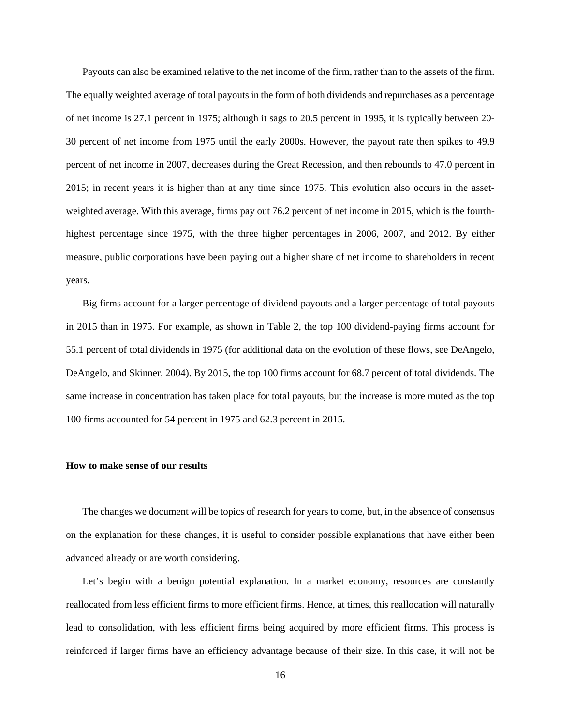Payouts can also be examined relative to the net income of the firm, rather than to the assets of the firm. The equally weighted average of total payouts in the form of both dividends and repurchases as a percentage of net income is 27.1 percent in 1975; although it sags to 20.5 percent in 1995, it is typically between 20- 30 percent of net income from 1975 until the early 2000s. However, the payout rate then spikes to 49.9 percent of net income in 2007, decreases during the Great Recession, and then rebounds to 47.0 percent in 2015; in recent years it is higher than at any time since 1975. This evolution also occurs in the assetweighted average. With this average, firms pay out 76.2 percent of net income in 2015, which is the fourthhighest percentage since 1975, with the three higher percentages in 2006, 2007, and 2012. By either measure, public corporations have been paying out a higher share of net income to shareholders in recent years.

Big firms account for a larger percentage of dividend payouts and a larger percentage of total payouts in 2015 than in 1975. For example, as shown in Table 2, the top 100 dividend-paying firms account for 55.1 percent of total dividends in 1975 (for additional data on the evolution of these flows, see DeAngelo, DeAngelo, and Skinner, 2004). By 2015, the top 100 firms account for 68.7 percent of total dividends. The same increase in concentration has taken place for total payouts, but the increase is more muted as the top 100 firms accounted for 54 percent in 1975 and 62.3 percent in 2015.

#### **How to make sense of our results**

The changes we document will be topics of research for years to come, but, in the absence of consensus on the explanation for these changes, it is useful to consider possible explanations that have either been advanced already or are worth considering.

Let's begin with a benign potential explanation. In a market economy, resources are constantly reallocated from less efficient firms to more efficient firms. Hence, at times, this reallocation will naturally lead to consolidation, with less efficient firms being acquired by more efficient firms. This process is reinforced if larger firms have an efficiency advantage because of their size. In this case, it will not be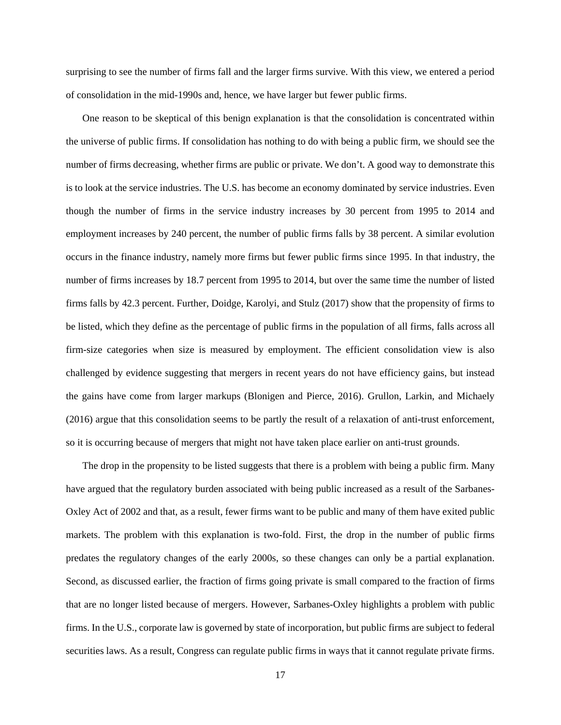surprising to see the number of firms fall and the larger firms survive. With this view, we entered a period of consolidation in the mid-1990s and, hence, we have larger but fewer public firms.

One reason to be skeptical of this benign explanation is that the consolidation is concentrated within the universe of public firms. If consolidation has nothing to do with being a public firm, we should see the number of firms decreasing, whether firms are public or private. We don't. A good way to demonstrate this is to look at the service industries. The U.S. has become an economy dominated by service industries. Even though the number of firms in the service industry increases by 30 percent from 1995 to 2014 and employment increases by 240 percent, the number of public firms falls by 38 percent. A similar evolution occurs in the finance industry, namely more firms but fewer public firms since 1995. In that industry, the number of firms increases by 18.7 percent from 1995 to 2014, but over the same time the number of listed firms falls by 42.3 percent. Further, Doidge, Karolyi, and Stulz (2017) show that the propensity of firms to be listed, which they define as the percentage of public firms in the population of all firms, falls across all firm-size categories when size is measured by employment. The efficient consolidation view is also challenged by evidence suggesting that mergers in recent years do not have efficiency gains, but instead the gains have come from larger markups (Blonigen and Pierce, 2016). Grullon, Larkin, and Michaely (2016) argue that this consolidation seems to be partly the result of a relaxation of anti-trust enforcement, so it is occurring because of mergers that might not have taken place earlier on anti-trust grounds.

The drop in the propensity to be listed suggests that there is a problem with being a public firm. Many have argued that the regulatory burden associated with being public increased as a result of the Sarbanes-Oxley Act of 2002 and that, as a result, fewer firms want to be public and many of them have exited public markets. The problem with this explanation is two-fold. First, the drop in the number of public firms predates the regulatory changes of the early 2000s, so these changes can only be a partial explanation. Second, as discussed earlier, the fraction of firms going private is small compared to the fraction of firms that are no longer listed because of mergers. However, Sarbanes-Oxley highlights a problem with public firms. In the U.S., corporate law is governed by state of incorporation, but public firms are subject to federal securities laws. As a result, Congress can regulate public firms in ways that it cannot regulate private firms.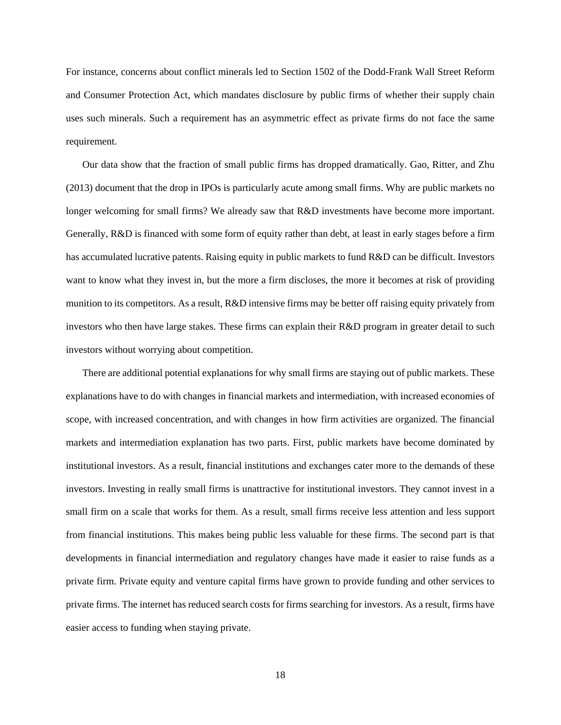For instance, concerns about conflict minerals led to Section 1502 of the Dodd-Frank Wall Street Reform and Consumer Protection Act, which mandates disclosure by public firms of whether their supply chain uses such minerals. Such a requirement has an asymmetric effect as private firms do not face the same requirement.

Our data show that the fraction of small public firms has dropped dramatically. Gao, Ritter, and Zhu (2013) document that the drop in IPOs is particularly acute among small firms. Why are public markets no longer welcoming for small firms? We already saw that R&D investments have become more important. Generally, R&D is financed with some form of equity rather than debt, at least in early stages before a firm has accumulated lucrative patents. Raising equity in public markets to fund R&D can be difficult. Investors want to know what they invest in, but the more a firm discloses, the more it becomes at risk of providing munition to its competitors. As a result, R&D intensive firms may be better off raising equity privately from investors who then have large stakes. These firms can explain their R&D program in greater detail to such investors without worrying about competition.

There are additional potential explanations for why small firms are staying out of public markets. These explanations have to do with changes in financial markets and intermediation, with increased economies of scope, with increased concentration, and with changes in how firm activities are organized. The financial markets and intermediation explanation has two parts. First, public markets have become dominated by institutional investors. As a result, financial institutions and exchanges cater more to the demands of these investors. Investing in really small firms is unattractive for institutional investors. They cannot invest in a small firm on a scale that works for them. As a result, small firms receive less attention and less support from financial institutions. This makes being public less valuable for these firms. The second part is that developments in financial intermediation and regulatory changes have made it easier to raise funds as a private firm. Private equity and venture capital firms have grown to provide funding and other services to private firms. The internet has reduced search costs for firms searching for investors. As a result, firms have easier access to funding when staying private.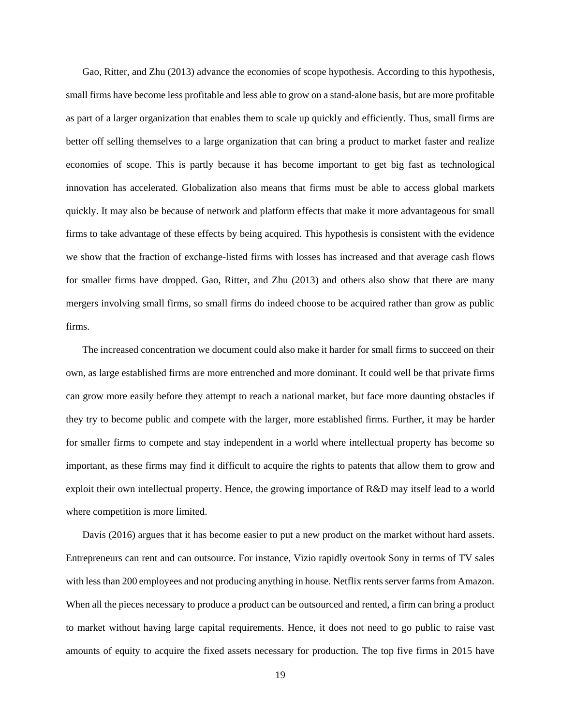Gao, Ritter, and Zhu (2013) advance the economies of scope hypothesis. According to this hypothesis, small firms have become less profitable and less able to grow on a stand-alone basis, but are more profitable as part of a larger organization that enables them to scale up quickly and efficiently. Thus, small firms are better off selling themselves to a large organization that can bring a product to market faster and realize economies of scope. This is partly because it has become important to get big fast as technological innovation has accelerated. Globalization also means that firms must be able to access global markets quickly. It may also be because of network and platform effects that make it more advantageous for small firms to take advantage of these effects by being acquired. This hypothesis is consistent with the evidence we show that the fraction of exchange-listed firms with losses has increased and that average cash flows for smaller firms have dropped. Gao, Ritter, and Zhu (2013) and others also show that there are many mergers involving small firms, so small firms do indeed choose to be acquired rather than grow as public firms.

The increased concentration we document could also make it harder for small firms to succeed on their own, as large established firms are more entrenched and more dominant. It could well be that private firms can grow more easily before they attempt to reach a national market, but face more daunting obstacles if they try to become public and compete with the larger, more established firms. Further, it may be harder for smaller firms to compete and stay independent in a world where intellectual property has become so important, as these firms may find it difficult to acquire the rights to patents that allow them to grow and exploit their own intellectual property. Hence, the growing importance of R&D may itself lead to a world where competition is more limited.

Davis (2016) argues that it has become easier to put a new product on the market without hard assets. Entrepreneurs can rent and can outsource. For instance, Vizio rapidly overtook Sony in terms of TV sales with less than 200 employees and not producing anything in house. Netflix rents server farms from Amazon. When all the pieces necessary to produce a product can be outsourced and rented, a firm can bring a product to market without having large capital requirements. Hence, it does not need to go public to raise vast amounts of equity to acquire the fixed assets necessary for production. The top five firms in 2015 have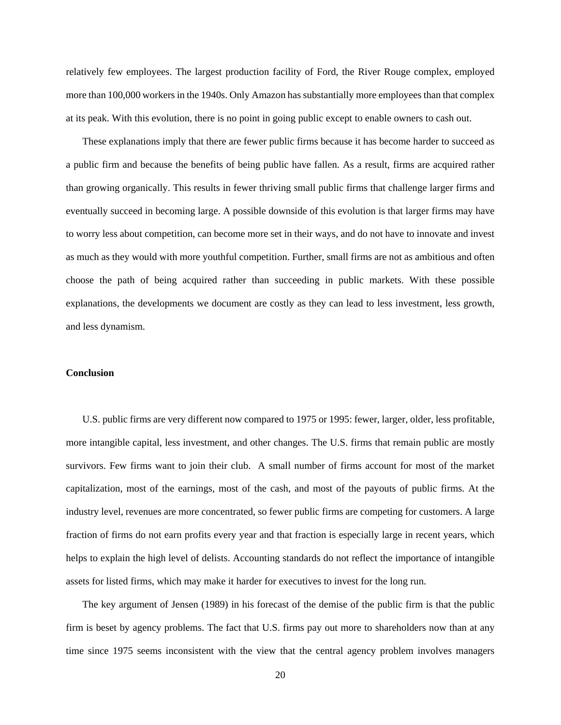relatively few employees. The largest production facility of Ford, the River Rouge complex, employed more than 100,000 workers in the 1940s. Only Amazon has substantially more employees than that complex at its peak. With this evolution, there is no point in going public except to enable owners to cash out.

These explanations imply that there are fewer public firms because it has become harder to succeed as a public firm and because the benefits of being public have fallen. As a result, firms are acquired rather than growing organically. This results in fewer thriving small public firms that challenge larger firms and eventually succeed in becoming large. A possible downside of this evolution is that larger firms may have to worry less about competition, can become more set in their ways, and do not have to innovate and invest as much as they would with more youthful competition. Further, small firms are not as ambitious and often choose the path of being acquired rather than succeeding in public markets. With these possible explanations, the developments we document are costly as they can lead to less investment, less growth, and less dynamism.

## **Conclusion**

U.S. public firms are very different now compared to 1975 or 1995: fewer, larger, older, less profitable, more intangible capital, less investment, and other changes. The U.S. firms that remain public are mostly survivors. Few firms want to join their club. A small number of firms account for most of the market capitalization, most of the earnings, most of the cash, and most of the payouts of public firms. At the industry level, revenues are more concentrated, so fewer public firms are competing for customers. A large fraction of firms do not earn profits every year and that fraction is especially large in recent years, which helps to explain the high level of delists. Accounting standards do not reflect the importance of intangible assets for listed firms, which may make it harder for executives to invest for the long run.

The key argument of Jensen (1989) in his forecast of the demise of the public firm is that the public firm is beset by agency problems. The fact that U.S. firms pay out more to shareholders now than at any time since 1975 seems inconsistent with the view that the central agency problem involves managers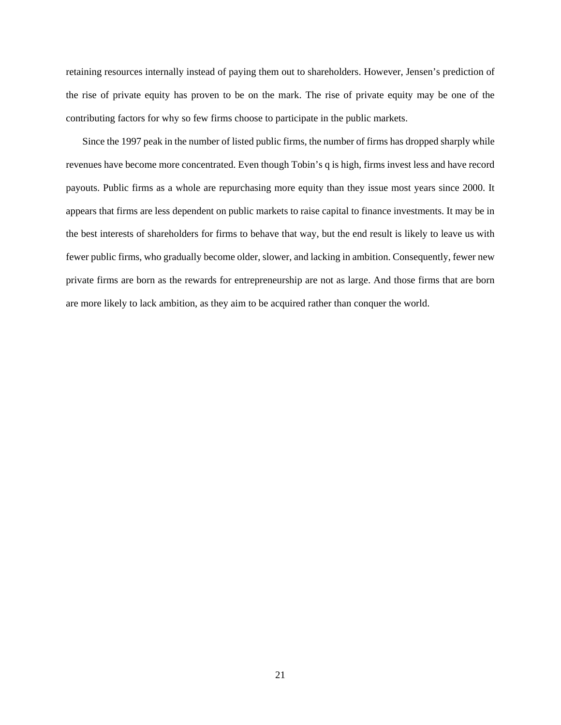retaining resources internally instead of paying them out to shareholders. However, Jensen's prediction of the rise of private equity has proven to be on the mark. The rise of private equity may be one of the contributing factors for why so few firms choose to participate in the public markets.

Since the 1997 peak in the number of listed public firms, the number of firms has dropped sharply while revenues have become more concentrated. Even though Tobin's q is high, firms invest less and have record payouts. Public firms as a whole are repurchasing more equity than they issue most years since 2000. It appears that firms are less dependent on public markets to raise capital to finance investments. It may be in the best interests of shareholders for firms to behave that way, but the end result is likely to leave us with fewer public firms, who gradually become older, slower, and lacking in ambition. Consequently, fewer new private firms are born as the rewards for entrepreneurship are not as large. And those firms that are born are more likely to lack ambition, as they aim to be acquired rather than conquer the world.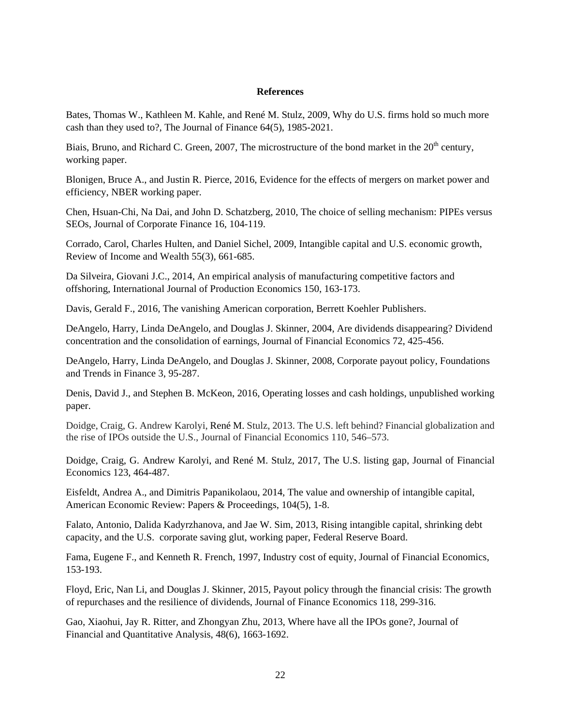## **References**

Bates, Thomas W., Kathleen M. Kahle, and René M. Stulz, 2009, Why do U.S. firms hold so much more cash than they used to?, The Journal of Finance 64(5), 1985-2021.

Biais, Bruno, and Richard C. Green, 2007, The microstructure of the bond market in the 20<sup>th</sup> century, working paper.

Blonigen, Bruce A., and Justin R. Pierce, 2016, Evidence for the effects of mergers on market power and efficiency, NBER working paper.

Chen, Hsuan-Chi, Na Dai, and John D. Schatzberg, 2010, The choice of selling mechanism: PIPEs versus SEOs, Journal of Corporate Finance 16, 104-119.

Corrado, Carol, Charles Hulten, and Daniel Sichel, 2009, Intangible capital and U.S. economic growth, Review of Income and Wealth 55(3), 661-685.

Da Silveira, Giovani J.C., 2014, An empirical analysis of manufacturing competitive factors and offshoring, International Journal of Production Economics 150, 163-173.

Davis, Gerald F., 2016, The vanishing American corporation, Berrett Koehler Publishers.

DeAngelo, Harry, Linda DeAngelo, and Douglas J. Skinner, 2004, Are dividends disappearing? Dividend concentration and the consolidation of earnings, Journal of Financial Economics 72, 425-456.

DeAngelo, Harry, Linda DeAngelo, and Douglas J. Skinner, 2008, Corporate payout policy, Foundations and Trends in Finance 3, 95-287.

Denis, David J., and Stephen B. McKeon, 2016, Operating losses and cash holdings, unpublished working paper.

Doidge, Craig, G. Andrew Karolyi, René M. Stulz, 2013. The U.S. left behind? Financial globalization and the rise of IPOs outside the U.S., Journal of Financial Economics 110, 546–573.

Doidge, Craig, G. Andrew Karolyi, and René M. Stulz, 2017, The U.S. listing gap, Journal of Financial Economics 123, 464-487.

Eisfeldt, Andrea A., and Dimitris Papanikolaou, 2014, The value and ownership of intangible capital, American Economic Review: Papers & Proceedings, 104(5), 1-8.

Falato, Antonio, Dalida Kadyrzhanova, and Jae W. Sim, 2013, Rising intangible capital, shrinking debt capacity, and the U.S. corporate saving glut, working paper, Federal Reserve Board.

Fama, Eugene F., and Kenneth R. French, 1997, Industry cost of equity, Journal of Financial Economics, 153-193.

Floyd, Eric, Nan Li, and Douglas J. Skinner, 2015, Payout policy through the financial crisis: The growth of repurchases and the resilience of dividends, Journal of Finance Economics 118, 299-316.

Gao, Xiaohui, Jay R. Ritter, and Zhongyan Zhu, 2013, Where have all the IPOs gone?, Journal of Financial and Quantitative Analysis, 48(6), 1663-1692.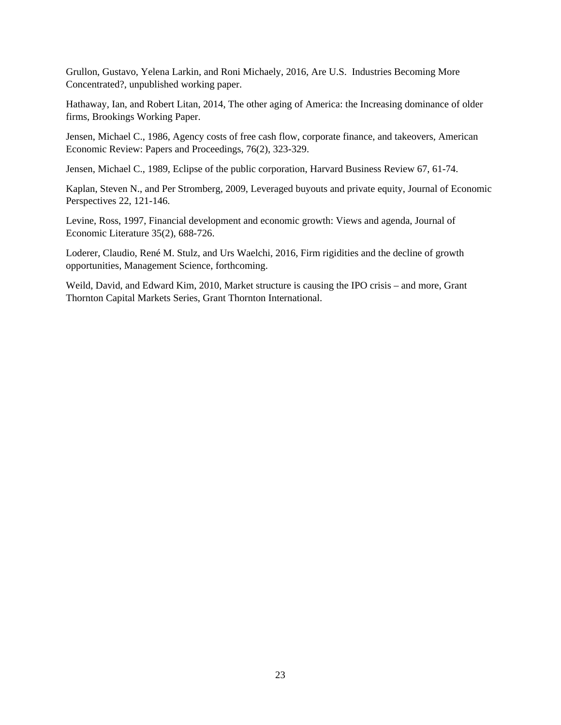Grullon, Gustavo, Yelena Larkin, and Roni Michaely, 2016, Are U.S. Industries Becoming More Concentrated?, unpublished working paper.

Hathaway, Ian, and Robert Litan, 2014, The other aging of America: the Increasing dominance of older firms, Brookings Working Paper.

Jensen, Michael C., 1986, Agency costs of free cash flow, corporate finance, and takeovers, American Economic Review: Papers and Proceedings, 76(2), 323-329.

Jensen, Michael C., 1989, Eclipse of the public corporation, Harvard Business Review 67, 61-74.

Kaplan, Steven N., and Per Stromberg, 2009, Leveraged buyouts and private equity, Journal of Economic Perspectives 22, 121-146.

Levine, Ross, 1997, Financial development and economic growth: Views and agenda, Journal of Economic Literature 35(2), 688-726.

Loderer, Claudio, René M. Stulz, and Urs Waelchi, 2016, Firm rigidities and the decline of growth opportunities, Management Science, forthcoming.

Weild, David, and Edward Kim, 2010, Market structure is causing the IPO crisis – and more, Grant Thornton Capital Markets Series, Grant Thornton International.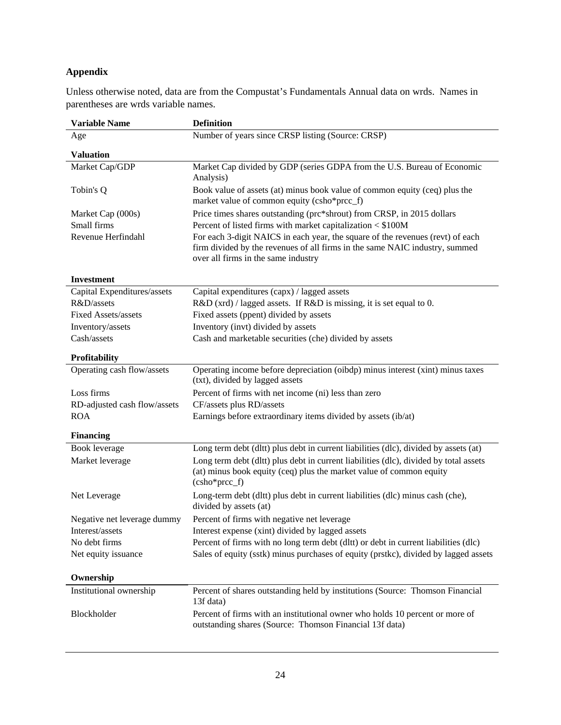# **Appendix**

Unless otherwise noted, data are from the Compustat's Fundamentals Annual data on wrds. Names in parentheses are wrds variable names.

| <b>Variable Name</b>         | <b>Definition</b>                                                                                                                                                                                    |
|------------------------------|------------------------------------------------------------------------------------------------------------------------------------------------------------------------------------------------------|
| Age                          | Number of years since CRSP listing (Source: CRSP)                                                                                                                                                    |
| <b>Valuation</b>             |                                                                                                                                                                                                      |
| Market Cap/GDP               | Market Cap divided by GDP (series GDPA from the U.S. Bureau of Economic<br>Analysis)                                                                                                                 |
| Tobin's Q                    | Book value of assets (at) minus book value of common equity (ceq) plus the<br>market value of common equity (csho*prcc_f)                                                                            |
| Market Cap (000s)            | Price times shares outstanding (prc*shrout) from CRSP, in 2015 dollars                                                                                                                               |
| Small firms                  | Percent of listed firms with market capitalization < \$100M                                                                                                                                          |
| Revenue Herfindahl           | For each 3-digit NAICS in each year, the square of the revenues (revt) of each<br>firm divided by the revenues of all firms in the same NAIC industry, summed<br>over all firms in the same industry |
| <b>Investment</b>            |                                                                                                                                                                                                      |
| Capital Expenditures/assets  | Capital expenditures (capx) / lagged assets                                                                                                                                                          |
| R&D/assets                   | R&D (xrd) / lagged assets. If R&D is missing, it is set equal to 0.                                                                                                                                  |
| <b>Fixed Assets/assets</b>   | Fixed assets (ppent) divided by assets                                                                                                                                                               |
| Inventory/assets             | Inventory (invt) divided by assets                                                                                                                                                                   |
| Cash/assets                  | Cash and marketable securities (che) divided by assets                                                                                                                                               |
| Profitability                |                                                                                                                                                                                                      |
| Operating cash flow/assets   | Operating income before depreciation (oibdp) minus interest (xint) minus taxes<br>(txt), divided by lagged assets                                                                                    |
| Loss firms                   | Percent of firms with net income (ni) less than zero                                                                                                                                                 |
| RD-adjusted cash flow/assets | CF/assets plus RD/assets                                                                                                                                                                             |
| <b>ROA</b>                   | Earnings before extraordinary items divided by assets (ib/at)                                                                                                                                        |
| <b>Financing</b>             |                                                                                                                                                                                                      |
| Book leverage                | Long term debt (dltt) plus debt in current liabilities (dlc), divided by assets (at)                                                                                                                 |
| Market leverage              | Long term debt (dltt) plus debt in current liabilities (dlc), divided by total assets<br>(at) minus book equity (ceq) plus the market value of common equity<br>$(csho*prec_f)$                      |
| Net Leverage                 | Long-term debt (dltt) plus debt in current liabilities (dlc) minus cash (che),<br>divided by assets (at)                                                                                             |
| Negative net leverage dummy  | Percent of firms with negative net leverage                                                                                                                                                          |
| Interest/assets              | Interest expense (xint) divided by lagged assets                                                                                                                                                     |
| No debt firms                | Percent of firms with no long term debt (dltt) or debt in current liabilities (dlc)                                                                                                                  |
| Net equity issuance          | Sales of equity (sstk) minus purchases of equity (prstkc), divided by lagged assets                                                                                                                  |
| Ownership                    |                                                                                                                                                                                                      |
| Institutional ownership      | Percent of shares outstanding held by institutions (Source: Thomson Financial<br>13f data)                                                                                                           |
| Blockholder                  | Percent of firms with an institutional owner who holds 10 percent or more of<br>outstanding shares (Source: Thomson Financial 13f data)                                                              |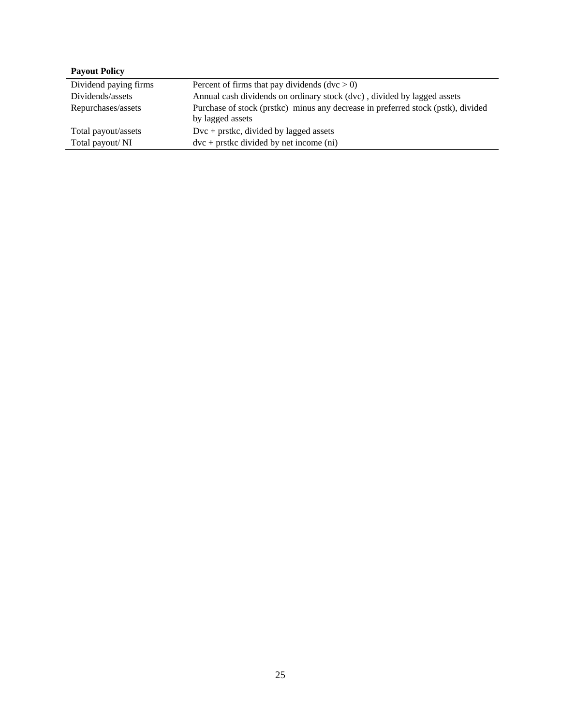| Dividend paying firms | Percent of firms that pay dividends $(dvc > 0)$                                                      |
|-----------------------|------------------------------------------------------------------------------------------------------|
| Dividends/assets      | Annual cash dividends on ordinary stock (dvc), divided by lagged assets                              |
| Repurchases/assets    | Purchase of stock (prstkc) minus any decrease in preferred stock (pstk), divided<br>by lagged assets |
| Total payout/assets   | $Dvc + prstkc$ , divided by lagged assets                                                            |
| Total payout/NI       | $dvc + prstkc \div divided \div pet \div qc$ (ni)                                                    |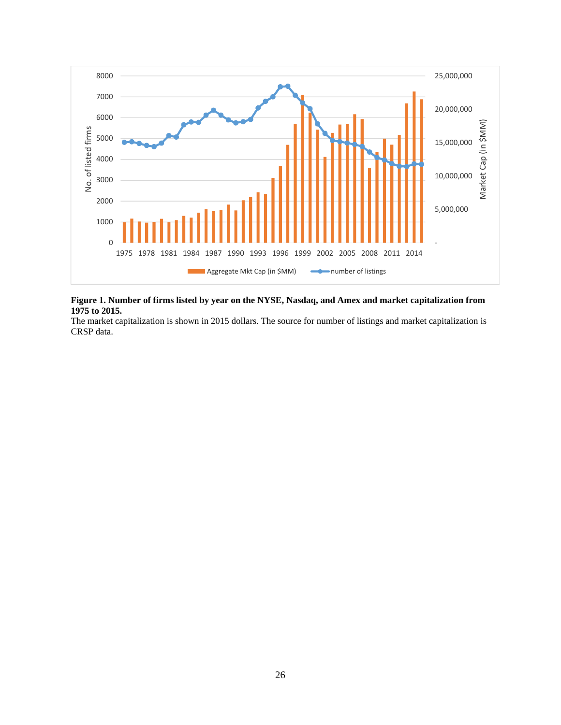

### **Figure 1. Number of firms listed by year on the NYSE, Nasdaq, and Amex and market capitalization from 1975 to 2015.**

The market capitalization is shown in 2015 dollars. The source for number of listings and market capitalization is CRSP data.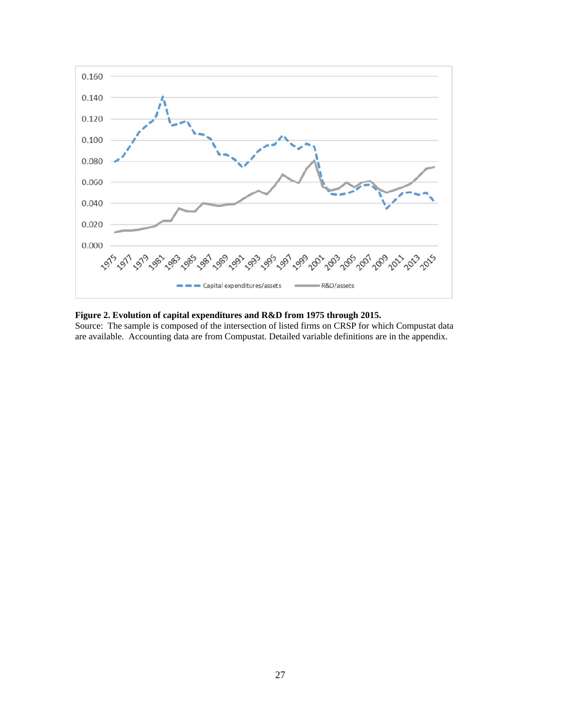

## **Figure 2. Evolution of capital expenditures and R&D from 1975 through 2015.**

Source: The sample is composed of the intersection of listed firms on CRSP for which Compustat data are available. Accounting data are from Compustat. Detailed variable definitions are in the appendix.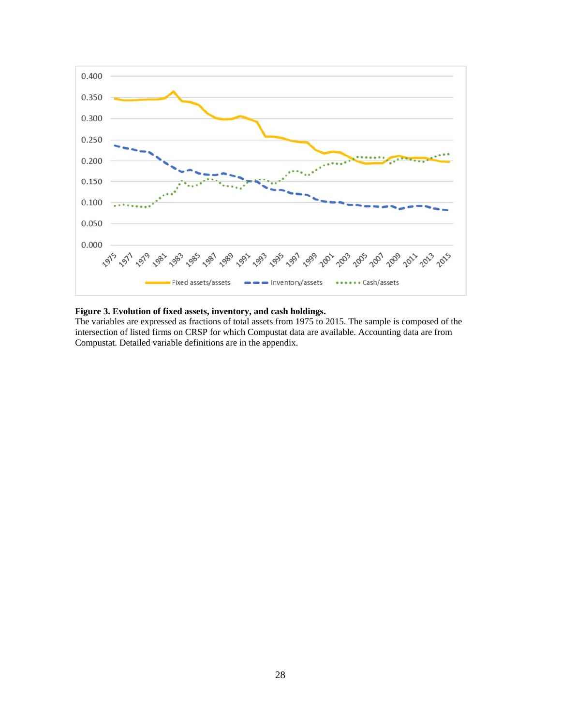

#### **Figure 3. Evolution of fixed assets, inventory, and cash holdings.**

The variables are expressed as fractions of total assets from 1975 to 2015. The sample is composed of the intersection of listed firms on CRSP for which Compustat data are available. Accounting data are from Compustat. Detailed variable definitions are in the appendix.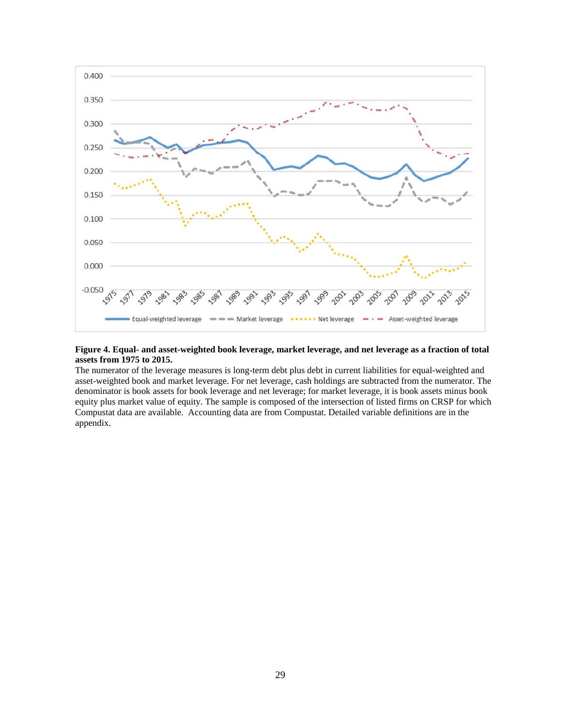

## **Figure 4. Equal- and asset-weighted book leverage, market leverage, and net leverage as a fraction of total assets from 1975 to 2015.**

The numerator of the leverage measures is long-term debt plus debt in current liabilities for equal-weighted and asset-weighted book and market leverage. For net leverage, cash holdings are subtracted from the numerator. The denominator is book assets for book leverage and net leverage; for market leverage, it is book assets minus book equity plus market value of equity. The sample is composed of the intersection of listed firms on CRSP for which Compustat data are available. Accounting data are from Compustat. Detailed variable definitions are in the appendix.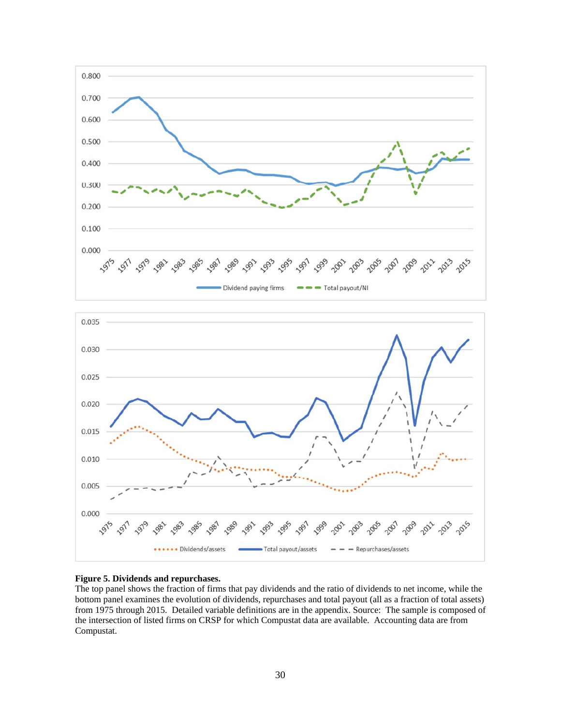



### **Figure 5. Dividends and repurchases.**

The top panel shows the fraction of firms that pay dividends and the ratio of dividends to net income, while the bottom panel examines the evolution of dividends, repurchases and total payout (all as a fraction of total assets) from 1975 through 2015. Detailed variable definitions are in the appendix. Source: The sample is composed of the intersection of listed firms on CRSP for which Compustat data are available. Accounting data are from Compustat.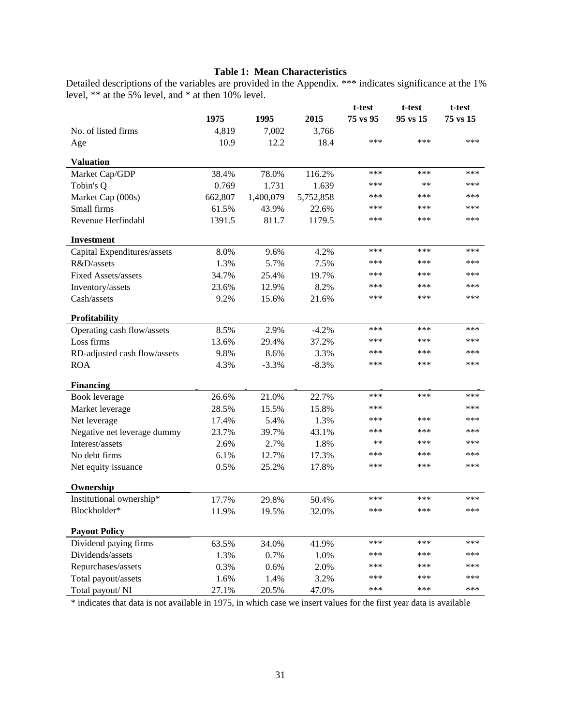#### **Table 1: Mean Characteristics**

Detailed descriptions of the variables are provided in the Appendix. \*\*\* indicates significance at the 1% level, \*\* at the 5% level, and \* at then 10% level.

|                              |         |           |           | t-test   | t-test   | t-test   |
|------------------------------|---------|-----------|-----------|----------|----------|----------|
|                              | 1975    | 1995      | 2015      | 75 vs 95 | 95 vs 15 | 75 vs 15 |
| No. of listed firms          | 4,819   | 7,002     | 3,766     |          |          |          |
| Age                          | 10.9    | 12.2      | 18.4      | ***      | ***      | ***      |
| <b>Valuation</b>             |         |           |           |          |          |          |
| Market Cap/GDP               | 38.4%   | 78.0%     | 116.2%    | ***      | ***      | ***      |
| Tobin's Q                    | 0.769   | 1.731     | 1.639     | ***      | $**$     | ***      |
| Market Cap (000s)            | 662,807 | 1,400,079 | 5,752,858 | ***      | ***      | ***      |
| Small firms                  | 61.5%   | 43.9%     | 22.6%     | ***      | ***      | ***      |
| Revenue Herfindahl           | 1391.5  | 811.7     | 1179.5    | ***      | ***      | ***      |
| <b>Investment</b>            |         |           |           |          |          |          |
| Capital Expenditures/assets  | 8.0%    | 9.6%      | 4.2%      | ***      | ***      | ***      |
| R&D/assets                   | 1.3%    | 5.7%      | 7.5%      | ***      | ***      | ***      |
| <b>Fixed Assets/assets</b>   | 34.7%   | 25.4%     | 19.7%     | ***      | ***      | ***      |
| Inventory/assets             | 23.6%   | 12.9%     | 8.2%      | ***      | ***      | ***      |
| Cash/assets                  | 9.2%    | 15.6%     | 21.6%     | ***      | ***      | ***      |
| Profitability                |         |           |           |          |          |          |
| Operating cash flow/assets   | 8.5%    | 2.9%      | $-4.2%$   | ***      | ***      | ***      |
| Loss firms                   | 13.6%   | 29.4%     | 37.2%     | ***      | ***      | ***      |
| RD-adjusted cash flow/assets | 9.8%    | 8.6%      | 3.3%      | ***      | ***      | ***      |
| <b>ROA</b>                   | 4.3%    | $-3.3%$   | $-8.3%$   | ***      | ***      | ***      |
| <b>Financing</b>             |         |           |           |          |          |          |
| Book leverage                | 26.6%   | 21.0%     | 22.7%     | ***      | ***      | ***      |
| Market leverage              | 28.5%   | 15.5%     | 15.8%     | ***      |          | ***      |
| Net leverage                 | 17.4%   | 5.4%      | 1.3%      | ***      | ***      | ***      |
| Negative net leverage dummy  | 23.7%   | 39.7%     | 43.1%     | ***      | ***      | ***      |
| Interest/assets              | 2.6%    | 2.7%      | 1.8%      | $***$    | ***      | ***      |
| No debt firms                | 6.1%    | 12.7%     | 17.3%     | ***      | ***      | ***      |
| Net equity issuance          | 0.5%    | 25.2%     | 17.8%     | ***      | ***      | ***      |
| Ownership                    |         |           |           |          |          |          |
| Institutional ownership*     | 17.7%   | 29.8%     | 50.4%     | ***      | ***      | ***      |
| Blockholder*                 | 11.9%   | 19.5%     | 32.0%     | ***      | ***      | ***      |
| <b>Payout Policy</b>         |         |           |           |          |          |          |
| Dividend paying firms        | 63.5%   | 34.0%     | 41.9%     | ***      | ***      | ***      |
| Dividends/assets             | 1.3%    | 0.7%      | 1.0%      | ***      | ***      | ***      |
| Repurchases/assets           | 0.3%    | 0.6%      | 2.0%      | ***      | ***      | ***      |
| Total payout/assets          | 1.6%    | 1.4%      | 3.2%      | ***      | ***      | ***      |
| Total payout/NI              | 27.1%   | 20.5%     | 47.0%     | ***      | ***      | ***      |

\* indicates that data is not available in 1975, in which case we insert values for the first year data is available